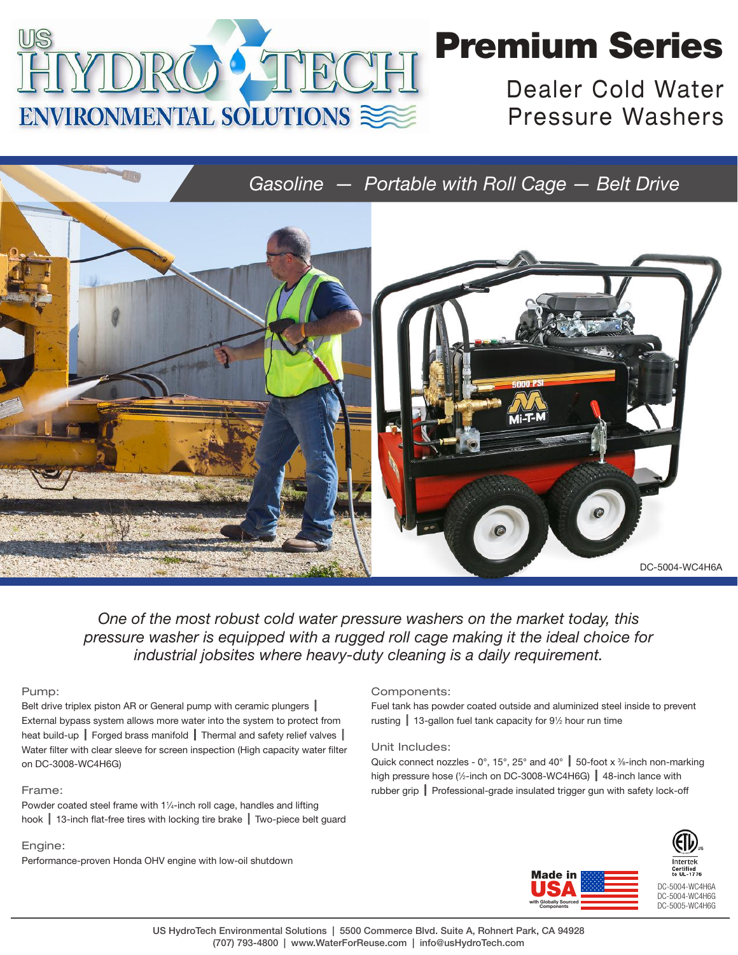

# Premium Series

Dealer Cold Water Pressure Washers



*One of the most robust cold water pressure washers on the market today, this pressure washer is equipped with a rugged roll cage making it the ideal choice for industrial jobsites where heavy-duty cleaning is a daily requirement.*

### Pump:

Belt drive triplex piston AR or General pump with ceramic plungers | External bypass system allows more water into the system to protect from heat build-up  $\parallel$  Forged brass manifold  $\parallel$  Thermal and safety relief valves  $\parallel$ Water filter with clear sleeve for screen inspection (High capacity water filter on DC-3008-WC4H6G)

### Frame:

Powder coated steel frame with 1¼-inch roll cage, handles and lifting hook  $\parallel$  13-inch flat-free tires with locking tire brake  $\parallel$  Two-piece belt guard

### Engine:

Performance-proven Honda OHV engine with low-oil shutdown

#### Components:

Fuel tank has powder coated outside and aluminized steel inside to prevent rusting  $\parallel$  13-gallon fuel tank capacity for 91/2 hour run time

#### Unit Includes:

Quick connect nozzles - 0°, 15°, 25° and 40°  $\,$  50-foot x %-inch non-marking high pressure hose (1/2-inch on DC-3008-WC4H6G)  $\parallel$  48-inch lance with rubber grip  $\parallel$  Professional-grade insulated trigger gun with safety lock-off